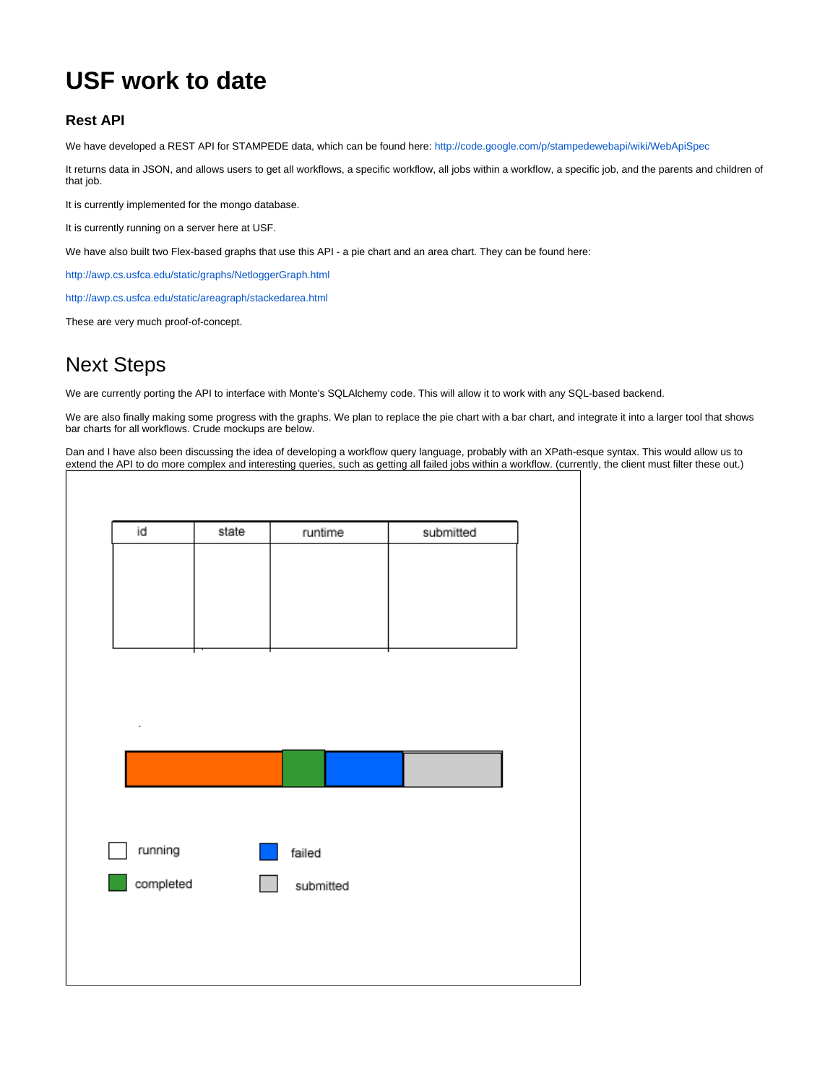## **USF work to date**

## **Rest API**

We have developed a REST API for STAMPEDE data, which can be found here: <http://code.google.com/p/stampedewebapi/wiki/WebApiSpec>

It returns data in JSON, and allows users to get all workflows, a specific workflow, all jobs within a workflow, a specific job, and the parents and children of that job.

It is currently implemented for the mongo database.

It is currently running on a server here at USF.

We have also built two Flex-based graphs that use this API - a pie chart and an area chart. They can be found here:

<http://awp.cs.usfca.edu/static/graphs/NetloggerGraph.html>

<http://awp.cs.usfca.edu/static/areagraph/stackedarea.html>

These are very much proof-of-concept.

## Next Steps

We are currently porting the API to interface with Monte's SQLAlchemy code. This will allow it to work with any SQL-based backend.

We are also finally making some progress with the graphs. We plan to replace the pie chart with a bar chart, and integrate it into a larger tool that shows bar charts for all workflows. Crude mockups are below.

Dan and I have also been discussing the idea of developing a workflow query language, probably with an XPath-esque syntax. This would allow us to extend the API to do more complex and interesting queries, such as getting all failed jobs within a workflow. (currently, the client must filter these out.)